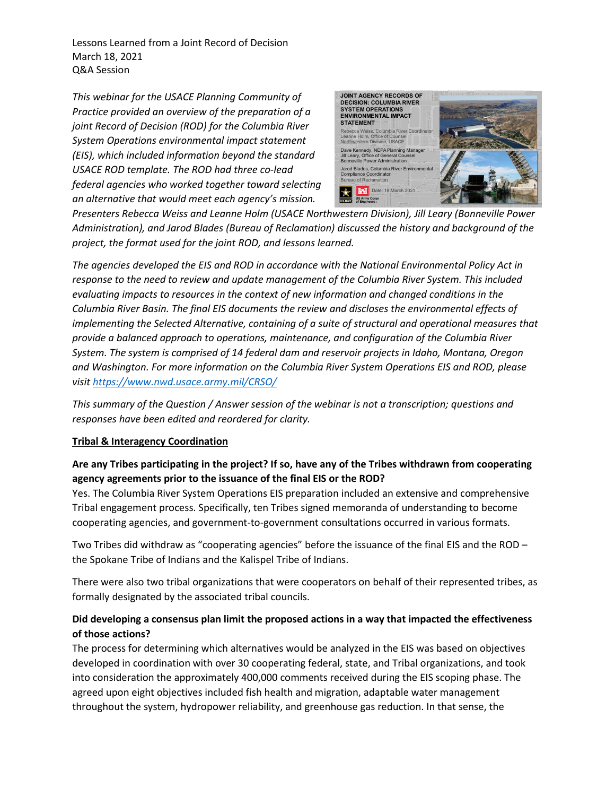Lessons Learned from a Joint Record of Decision March 18, 2021 Q&A Session

*This webinar for the USACE Planning Community of Practice provided an overview of the preparation of a joint Record of Decision (ROD) for the Columbia River System Operations environmental impact statement (EIS), which included information beyond the standard USACE ROD template. The ROD had three co-lead federal agencies who worked together toward selecting an alternative that would meet each agency's mission.* 



*Presenters Rebecca Weiss and Leanne Holm (USACE Northwestern Division), Jill Leary (Bonneville Power Administration), and Jarod Blades (Bureau of Reclamation) discussed the history and background of the project, the format used for the joint ROD, and lessons learned.*

*The agencies developed the EIS and ROD in accordance with the National Environmental Policy Act in response to the need to review and update management of the Columbia River System. This included evaluating impacts to resources in the context of new information and changed conditions in the Columbia River Basin. The final EIS documents the review and discloses the environmental effects of implementing the Selected Alternative, containing of a suite of structural and operational measures that provide a balanced approach to operations, maintenance, and configuration of the Columbia River System. The system is comprised of 14 federal dam and reservoir projects in Idaho, Montana, Oregon and Washington. For more information on the Columbia River System Operations EIS and ROD, please visit<https://www.nwd.usace.army.mil/CRSO/>*

*This summary of the Question / Answer session of the webinar is not a transcription; questions and responses have been edited and reordered for clarity.* 

#### **Tribal & Interagency Coordination**

## **Are any Tribes participating in the project? If so, have any of the Tribes withdrawn from cooperating agency agreements prior to the issuance of the final EIS or the ROD?**

Yes. The Columbia River System Operations EIS preparation included an extensive and comprehensive Tribal engagement process. Specifically, ten Tribes signed memoranda of understanding to become cooperating agencies, and government-to-government consultations occurred in various formats.

Two Tribes did withdraw as "cooperating agencies" before the issuance of the final EIS and the ROD – the Spokane Tribe of Indians and the Kalispel Tribe of Indians.

There were also two tribal organizations that were cooperators on behalf of their represented tribes, as formally designated by the associated tribal councils.

## **Did developing a consensus plan limit the proposed actions in a way that impacted the effectiveness of those actions?**

The process for determining which alternatives would be analyzed in the EIS was based on objectives developed in coordination with over 30 cooperating federal, state, and Tribal organizations, and took into consideration the approximately 400,000 comments received during the EIS scoping phase. The agreed upon eight objectives included fish health and migration, adaptable water management throughout the system, hydropower reliability, and greenhouse gas reduction. In that sense, the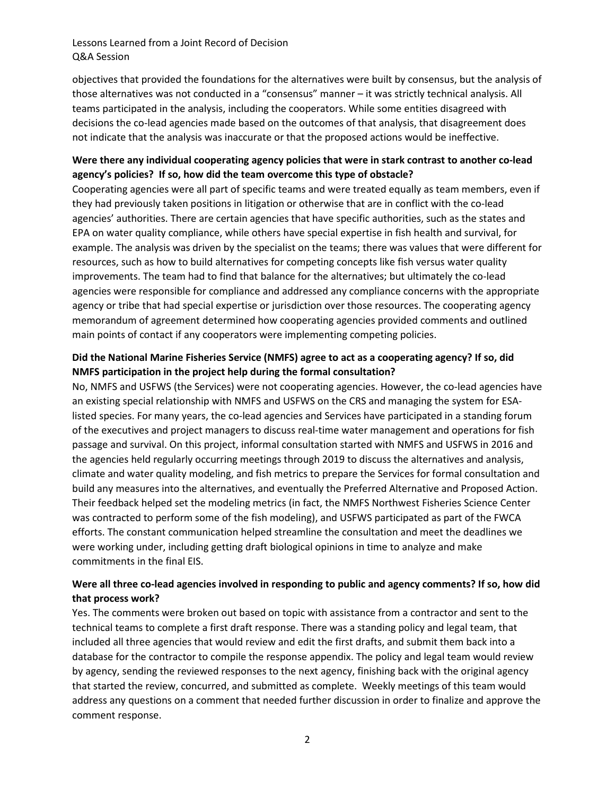### Lessons Learned from a Joint Record of Decision Q&A Session

objectives that provided the foundations for the alternatives were built by consensus, but the analysis of those alternatives was not conducted in a "consensus" manner – it was strictly technical analysis. All teams participated in the analysis, including the cooperators. While some entities disagreed with decisions the co-lead agencies made based on the outcomes of that analysis, that disagreement does not indicate that the analysis was inaccurate or that the proposed actions would be ineffective.

## **Were there any individual cooperating agency policies that were in stark contrast to another co-lead agency's policies? If so, how did the team overcome this type of obstacle?**

Cooperating agencies were all part of specific teams and were treated equally as team members, even if they had previously taken positions in litigation or otherwise that are in conflict with the co-lead agencies' authorities. There are certain agencies that have specific authorities, such as the states and EPA on water quality compliance, while others have special expertise in fish health and survival, for example. The analysis was driven by the specialist on the teams; there was values that were different for resources, such as how to build alternatives for competing concepts like fish versus water quality improvements. The team had to find that balance for the alternatives; but ultimately the co-lead agencies were responsible for compliance and addressed any compliance concerns with the appropriate agency or tribe that had special expertise or jurisdiction over those resources. The cooperating agency memorandum of agreement determined how cooperating agencies provided comments and outlined main points of contact if any cooperators were implementing competing policies.

## **Did the National Marine Fisheries Service (NMFS) agree to act as a cooperating agency? If so, did NMFS participation in the project help during the formal consultation?**

No, NMFS and USFWS (the Services) were not cooperating agencies. However, the co-lead agencies have an existing special relationship with NMFS and USFWS on the CRS and managing the system for ESAlisted species. For many years, the co-lead agencies and Services have participated in a standing forum of the executives and project managers to discuss real-time water management and operations for fish passage and survival. On this project, informal consultation started with NMFS and USFWS in 2016 and the agencies held regularly occurring meetings through 2019 to discuss the alternatives and analysis, climate and water quality modeling, and fish metrics to prepare the Services for formal consultation and build any measures into the alternatives, and eventually the Preferred Alternative and Proposed Action. Their feedback helped set the modeling metrics (in fact, the NMFS Northwest Fisheries Science Center was contracted to perform some of the fish modeling), and USFWS participated as part of the FWCA efforts. The constant communication helped streamline the consultation and meet the deadlines we were working under, including getting draft biological opinions in time to analyze and make commitments in the final EIS.

# **Were all three co-lead agencies involved in responding to public and agency comments? If so, how did that process work?**

Yes. The comments were broken out based on topic with assistance from a contractor and sent to the technical teams to complete a first draft response. There was a standing policy and legal team, that included all three agencies that would review and edit the first drafts, and submit them back into a database for the contractor to compile the response appendix. The policy and legal team would review by agency, sending the reviewed responses to the next agency, finishing back with the original agency that started the review, concurred, and submitted as complete. Weekly meetings of this team would address any questions on a comment that needed further discussion in order to finalize and approve the comment response.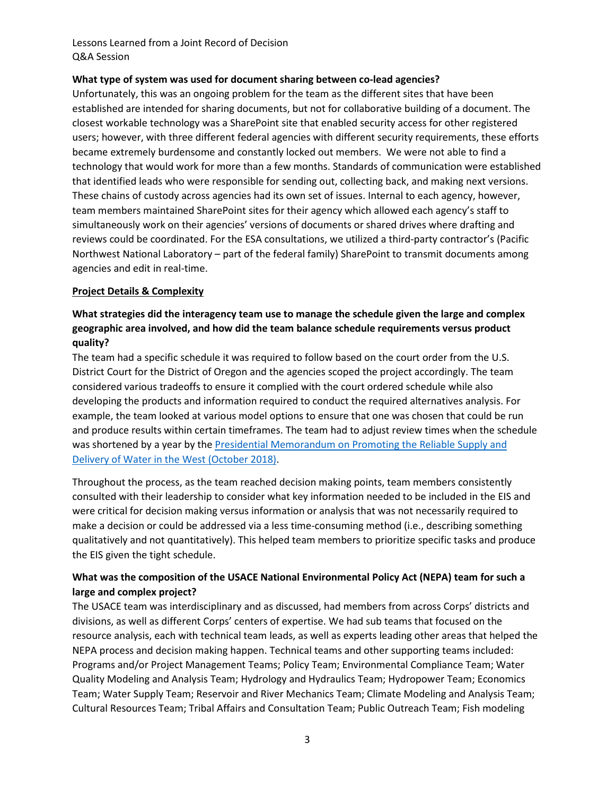### Lessons Learned from a Joint Record of Decision Q&A Session

#### **What type of system was used for document sharing between co-lead agencies?**

Unfortunately, this was an ongoing problem for the team as the different sites that have been established are intended for sharing documents, but not for collaborative building of a document. The closest workable technology was a SharePoint site that enabled security access for other registered users; however, with three different federal agencies with different security requirements, these efforts became extremely burdensome and constantly locked out members. We were not able to find a technology that would work for more than a few months. Standards of communication were established that identified leads who were responsible for sending out, collecting back, and making next versions. These chains of custody across agencies had its own set of issues. Internal to each agency, however, team members maintained SharePoint sites for their agency which allowed each agency's staff to simultaneously work on their agencies' versions of documents or shared drives where drafting and reviews could be coordinated. For the ESA consultations, we utilized a third-party contractor's (Pacific Northwest National Laboratory – part of the federal family) SharePoint to transmit documents among agencies and edit in real-time.

#### **Project Details & Complexity**

## **What strategies did the interagency team use to manage the schedule given the large and complex geographic area involved, and how did the team balance schedule requirements versus product quality?**

The team had a specific schedule it was required to follow based on the court order from the U.S. District Court for the District of Oregon and the agencies scoped the project accordingly. The team considered various tradeoffs to ensure it complied with the court ordered schedule while also developing the products and information required to conduct the required alternatives analysis. For example, the team looked at various model options to ensure that one was chosen that could be run and produce results within certain timeframes. The team had to adjust review times when the schedule was shortened by a year by the [Presidential Memorandum on Promoting the Reliable Supply and](https://www.federalregister.gov/documents/2018/10/25/2018-23519/promoting-the-reliable-supply-and-delivery-of-water-in-the-west)  [Delivery of Water in the West \(October 2018\).](https://www.federalregister.gov/documents/2018/10/25/2018-23519/promoting-the-reliable-supply-and-delivery-of-water-in-the-west)

Throughout the process, as the team reached decision making points, team members consistently consulted with their leadership to consider what key information needed to be included in the EIS and were critical for decision making versus information or analysis that was not necessarily required to make a decision or could be addressed via a less time-consuming method (i.e., describing something qualitatively and not quantitatively). This helped team members to prioritize specific tasks and produce the EIS given the tight schedule.

## **What was the composition of the USACE National Environmental Policy Act (NEPA) team for such a large and complex project?**

The USACE team was interdisciplinary and as discussed, had members from across Corps' districts and divisions, as well as different Corps' centers of expertise. We had sub teams that focused on the resource analysis, each with technical team leads, as well as experts leading other areas that helped the NEPA process and decision making happen. Technical teams and other supporting teams included: Programs and/or Project Management Teams; Policy Team; Environmental Compliance Team; Water Quality Modeling and Analysis Team; Hydrology and Hydraulics Team; Hydropower Team; Economics Team; Water Supply Team; Reservoir and River Mechanics Team; Climate Modeling and Analysis Team; Cultural Resources Team; Tribal Affairs and Consultation Team; Public Outreach Team; Fish modeling